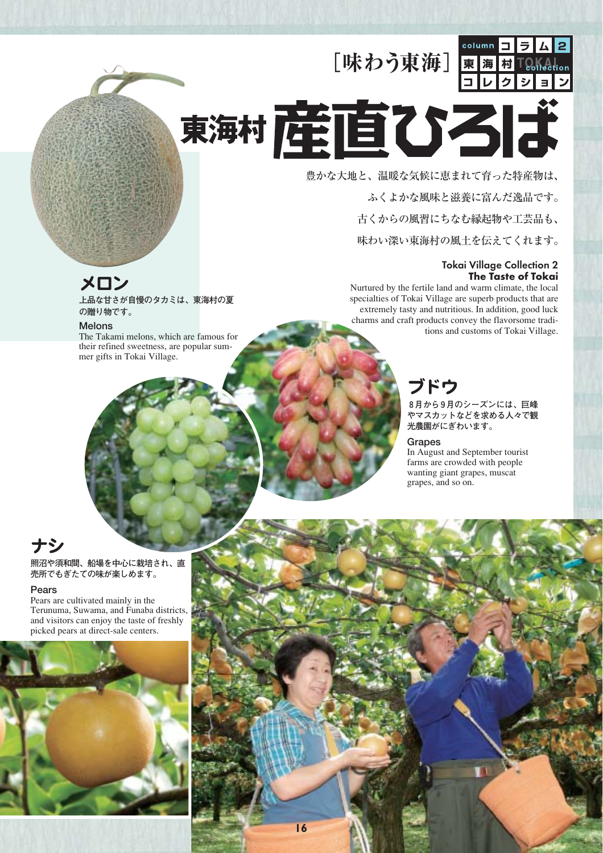[味わう東海] 東海村



# 東海村産直ひろば

豊かな大地と、温暖な気候に恵まれて育った特産物は、 ふくよかな風味と滋養に富んだ逸品です。

古くからの風習にちなむ縁起物や工芸品も、

味わい深い東海村の風土を伝えてくれます。

#### Tokai Village Collection 2 **The Taste of Tokai**

Nurtured by the fertile land and warm climate, the local specialties of Tokai Village are superb products that are extremely tasty and nutritious. In addition, good luck charms and craft products convey the flavorsome tradi-**EXECUTIS**<br>The Takami melons which are famous for

## ブドウ

**8月から9月のシーズンには、巨峰 やマスカットなどを求める人々で観 光農園がにぎわいます。**

#### **Grapes**

村松海岸

**1**16**6**

この文章は<sub>の文章</sub>の文章は

阿漕ヶ浦公園

**歴史大学**などの文章

In August and September tourist farms are crowded with people wanting giant grapes, muscat grapes, and so on.

**M**の文章とは異なります

**この文章は** 

**この文章は** 

**際の文章とは異なります**

ちゃく

## メロン

**上品な甘さが自慢のタカミは、東海村の夏 の贈り物です。**

#### Melons

The Takami melons, which are famous for their refined sweetness, are popular summer gifts in Tokai Village.

### ナシ

**照沼や須和間、船場を中心に栽培され、直 売所でもぎたての味が楽しめます。**

#### Pears

**17 16**

Pears are cultivated mainly in the Terunuma, Suwama, and Funaba districts, and visitors can enjoy the taste of freshly picked pears at direct-sale centers.